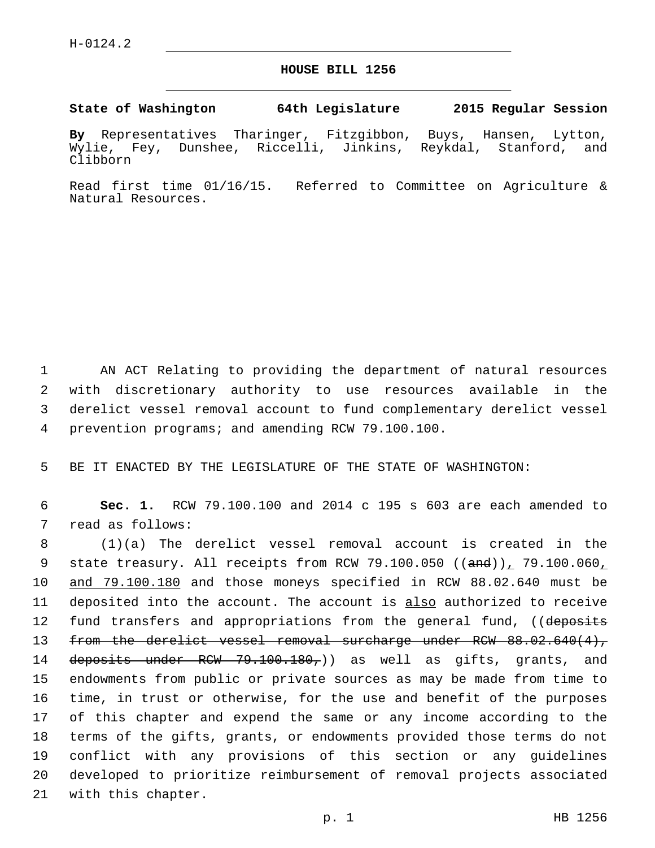## **HOUSE BILL 1256**

## **State of Washington 64th Legislature 2015 Regular Session**

**By** Representatives Tharinger, Fitzgibbon, Buys, Hansen, Lytton, Wylie, Fey, Dunshee, Riccelli, Jinkins, Reykdal, Stanford, and Clibborn

Read first time 01/16/15. Referred to Committee on Agriculture & Natural Resources.

 AN ACT Relating to providing the department of natural resources with discretionary authority to use resources available in the derelict vessel removal account to fund complementary derelict vessel prevention programs; and amending RCW 79.100.100.4

5 BE IT ENACTED BY THE LEGISLATURE OF THE STATE OF WASHINGTON:

6 **Sec. 1.** RCW 79.100.100 and 2014 c 195 s 603 are each amended to 7 read as follows:

8 (1)(a) The derelict vessel removal account is created in the 9 state treasury. All receipts from RCW 79.100.050  $((\text{and}))$ , 79.100.060, 10 and 79.100.180 and those moneys specified in RCW 88.02.640 must be 11 deposited into the account. The account is also authorized to receive 12 fund transfers and appropriations from the general fund, ((deposits 13 from the derelict vessel removal surcharge under RCW 88.02.640(4), 14 deposits under RCW 79.100.180,) as well as gifts, grants, and 15 endowments from public or private sources as may be made from time to 16 time, in trust or otherwise, for the use and benefit of the purposes 17 of this chapter and expend the same or any income according to the 18 terms of the gifts, grants, or endowments provided those terms do not 19 conflict with any provisions of this section or any guidelines 20 developed to prioritize reimbursement of removal projects associated 21 with this chapter.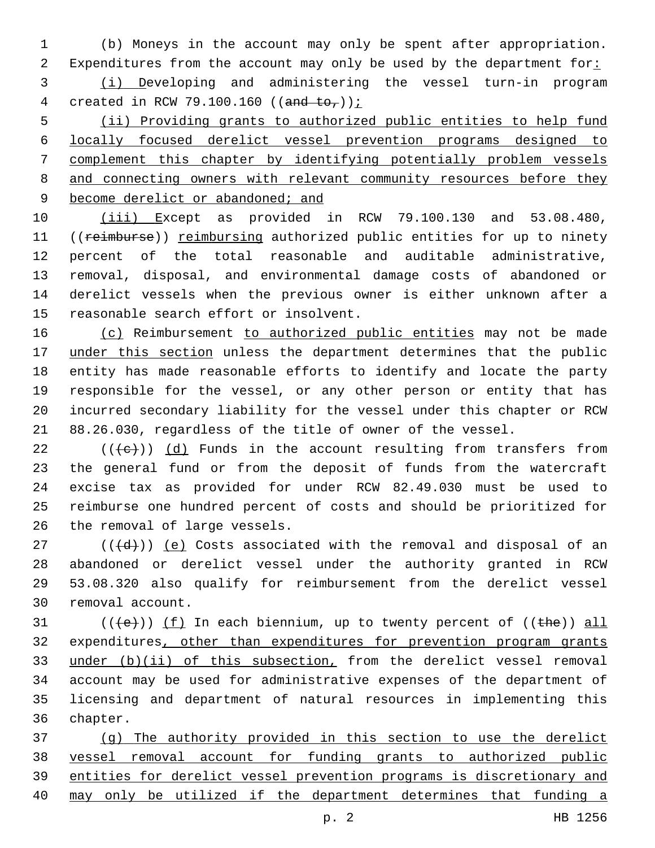(b) Moneys in the account may only be spent after appropriation. 2 Expenditures from the account may only be used by the department for: (i) Developing and administering the vessel turn-in program 4 created in RCW 79.100.160 ((and  $to_{\tau}$ )):

 (ii) Providing grants to authorized public entities to help fund locally focused derelict vessel prevention programs designed to complement this chapter by identifying potentially problem vessels 8 and connecting owners with relevant community resources before they 9 become derelict or abandoned; and

 (iii) Except as provided in RCW 79.100.130 and 53.08.480, 11 ((reimburse)) reimbursing authorized public entities for up to ninety percent of the total reasonable and auditable administrative, removal, disposal, and environmental damage costs of abandoned or derelict vessels when the previous owner is either unknown after a 15 reasonable search effort or insolvent.

16 (c) Reimbursement to authorized public entities may not be made 17 under this section unless the department determines that the public entity has made reasonable efforts to identify and locate the party responsible for the vessel, or any other person or entity that has incurred secondary liability for the vessel under this chapter or RCW 88.26.030, regardless of the title of owner of the vessel.

 $((+e))$  (d) Funds in the account resulting from transfers from the general fund or from the deposit of funds from the watercraft excise tax as provided for under RCW 82.49.030 must be used to reimburse one hundred percent of costs and should be prioritized for 26 the removal of large vessels.

 ( $(\overline{d})$ ) (e) Costs associated with the removal and disposal of an abandoned or derelict vessel under the authority granted in RCW 53.08.320 also qualify for reimbursement from the derelict vessel 30 removal account.

 $((+e))$   $(f)$  In each biennium, up to twenty percent of  $((+he))$  all expenditures, other than expenditures for prevention program grants 33 under (b)(ii) of this subsection, from the derelict vessel removal account may be used for administrative expenses of the department of licensing and department of natural resources in implementing this 36 chapter.

 (g) The authority provided in this section to use the derelict vessel removal account for funding grants to authorized public entities for derelict vessel prevention programs is discretionary and may only be utilized if the department determines that funding a